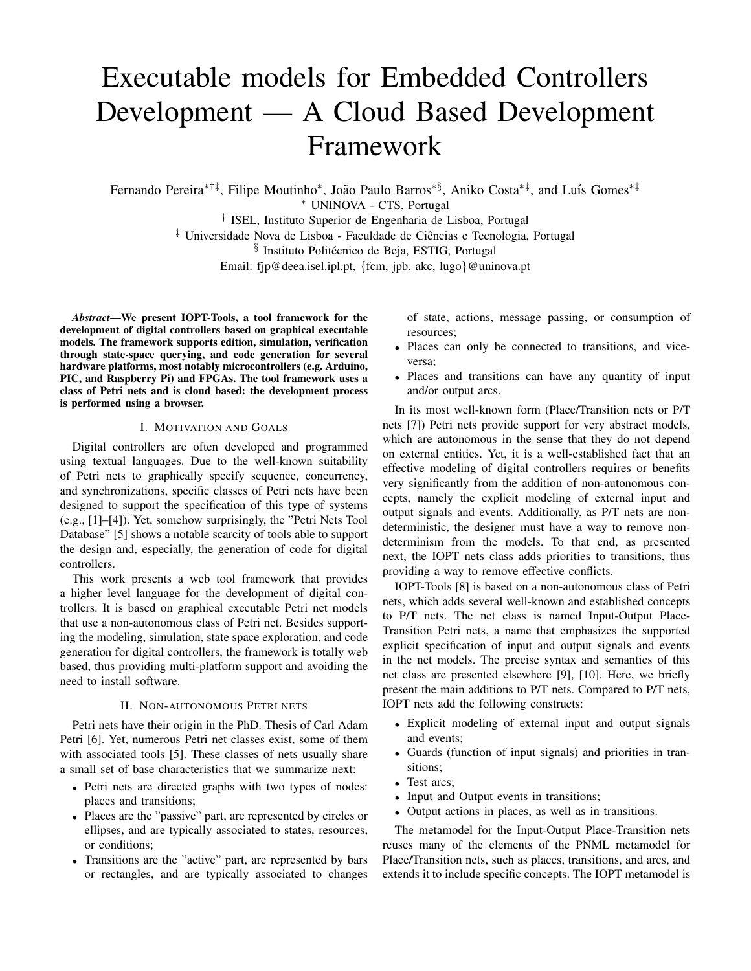# Executable models for Embedded Controllers Development — A Cloud Based Development Framework

Fernando Pereira\*<sup>†‡</sup>, Filipe Moutinho\*, João Paulo Barros<sup>\*§</sup>, Aniko Costa<sup>\*‡</sup>, and Luís Gomes<sup>\*‡</sup> <sup>∗</sup> UNINOVA - CTS, Portugal † ISEL, Instituto Superior de Engenharia de Lisboa, Portugal ‡ Universidade Nova de Lisboa - Faculdade de Ciencias e Tecnologia, Portugal ˆ  $\S$  Instituto Politécnico de Beja, ESTIG, Portugal

Email: fjp@deea.isel.ipl.pt, {fcm, jpb, akc, lugo}@uninova.pt

*Abstract*—We present IOPT-Tools, a tool framework for the development of digital controllers based on graphical executable models. The framework supports edition, simulation, verification through state-space querying, and code generation for several hardware platforms, most notably microcontrollers (e.g. Arduino, PIC, and Raspberry Pi) and FPGAs. The tool framework uses a class of Petri nets and is cloud based: the development process is performed using a browser.

#### I. MOTIVATION AND GOALS

Digital controllers are often developed and programmed using textual languages. Due to the well-known suitability of Petri nets to graphically specify sequence, concurrency, and synchronizations, specific classes of Petri nets have been designed to support the specification of this type of systems (e.g., [1]–[4]). Yet, somehow surprisingly, the "Petri Nets Tool Database" [5] shows a notable scarcity of tools able to support the design and, especially, the generation of code for digital controllers.

This work presents a web tool framework that provides a higher level language for the development of digital controllers. It is based on graphical executable Petri net models that use a non-autonomous class of Petri net. Besides supporting the modeling, simulation, state space exploration, and code generation for digital controllers, the framework is totally web based, thus providing multi-platform support and avoiding the need to install software.

#### II. NON-AUTONOMOUS PETRI NETS

Petri nets have their origin in the PhD. Thesis of Carl Adam Petri [6]. Yet, numerous Petri net classes exist, some of them with associated tools [5]. These classes of nets usually share a small set of base characteristics that we summarize next:

- Petri nets are directed graphs with two types of nodes: places and transitions;
- Places are the "passive" part, are represented by circles or ellipses, and are typically associated to states, resources, or conditions;
- Transitions are the "active" part, are represented by bars or rectangles, and are typically associated to changes

of state, actions, message passing, or consumption of resources;

- Places can only be connected to transitions, and viceversa;
- Places and transitions can have any quantity of input and/or output arcs.

In its most well-known form (Place/Transition nets or P/T nets [7]) Petri nets provide support for very abstract models, which are autonomous in the sense that they do not depend on external entities. Yet, it is a well-established fact that an effective modeling of digital controllers requires or benefits very significantly from the addition of non-autonomous concepts, namely the explicit modeling of external input and output signals and events. Additionally, as P/T nets are nondeterministic, the designer must have a way to remove nondeterminism from the models. To that end, as presented next, the IOPT nets class adds priorities to transitions, thus providing a way to remove effective conflicts.

IOPT-Tools [8] is based on a non-autonomous class of Petri nets, which adds several well-known and established concepts to P/T nets. The net class is named Input-Output Place-Transition Petri nets, a name that emphasizes the supported explicit specification of input and output signals and events in the net models. The precise syntax and semantics of this net class are presented elsewhere [9], [10]. Here, we briefly present the main additions to P/T nets. Compared to P/T nets, IOPT nets add the following constructs:

- Explicit modeling of external input and output signals and events;
- Guards (function of input signals) and priorities in transitions;
- Test arcs;
- Input and Output events in transitions;
- Output actions in places, as well as in transitions.

The metamodel for the Input-Output Place-Transition nets reuses many of the elements of the PNML metamodel for Place/Transition nets, such as places, transitions, and arcs, and extends it to include specific concepts. The IOPT metamodel is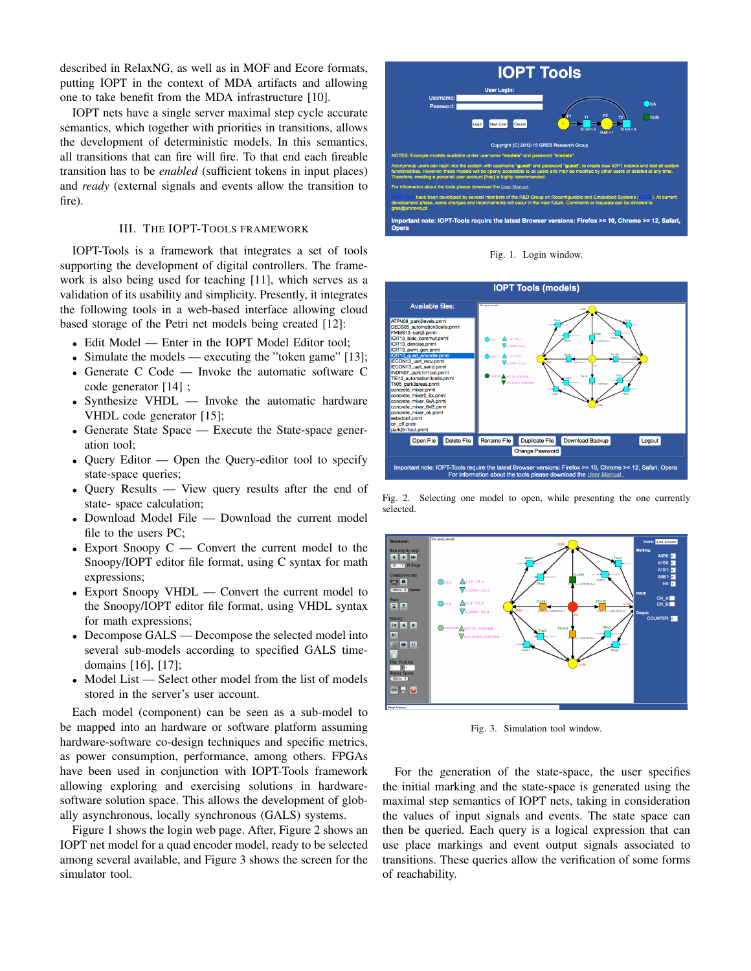described in RelaxNG, as well as in MOF and Ecore formats, putting IOPT in the context of MDA artifacts and allowing one to take benefit from the MDA infrastructure [10].

IOPT nets have a single server maximal step cycle accurate semantics, which together with priorities in transitions, allows the development of deterministic models. In this semantics, all transitions that can fire will fire. To that end each fireable transition has to be *enabled* (sufficient tokens in input places) and *ready* (external signals and events allow the transition to fire).

## III. THE IOPT-TOOLS FRAMEWORK

IOPT-Tools is a framework that integrates a set of tools supporting the development of digital controllers. The framework is also being used for teaching [11], which serves as a validation of its usability and simplicity. Presently, it integrates the following tools in a web-based interface allowing cloud based storage of the Petri net models being created [12]:

- Edit Model Enter in the IOPT Model Editor tool;
- Simulate the models executing the "token game" [13];
- Generate C Code Invoke the automatic software C code generator [14] ;
- Synthesize VHDL Invoke the automatic hardware VHDL code generator [15];
- Generate State Space Execute the State-space generation tool;
- Query Editor Open the Query-editor tool to specify state-space queries;
- Query Results View query results after the end of state- space calculation;
- Download Model File Download the current model file to the users PC;
- Export Snoopy C Convert the current model to the Snoopy/IOPT editor file format, using C syntax for math expressions;
- Export Snoopy VHDL Convert the current model to the Snoopy/IOPT editor file format, using VHDL syntax for math expressions;
- Decompose GALS Decompose the selected model into several sub-models according to specified GALS timedomains [16], [17];
- Model List Select other model from the list of models stored in the server's user account.

Each model (component) can be seen as a sub-model to be mapped into an hardware or software platform assuming hardware-software co-design techniques and specific metrics, as power consumption, performance, among others. FPGAs have been used in conjunction with IOPT-Tools framework allowing exploring and exercising solutions in hardwaresoftware solution space. This allows the development of globally asynchronous, locally synchronous (GALS) systems.

Figure 1 shows the login web page. After, Figure 2 shows an IOPT net model for a quad encoder model, ready to be selected among several available, and Figure 3 shows the screen for the simulator tool.



Fig. 1. Login window.



Fig. 2. Selecting one model to open, while presenting the one currently selected.



Fig. 3. Simulation tool window.

For the generation of the state-space, the user specifies the initial marking and the state-space is generated using the maximal step semantics of IOPT nets, taking in consideration the values of input signals and events. The state space can then be queried. Each query is a logical expression that can use place markings and event output signals associated to transitions. These queries allow the verification of some forms of reachability.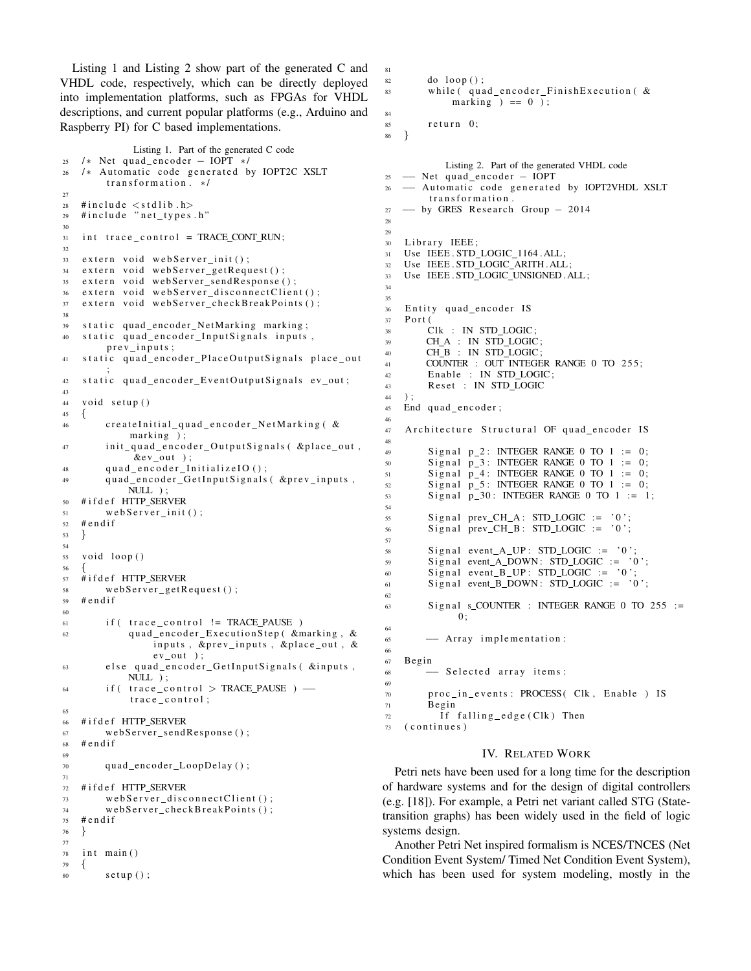Listing 1 and Listing 2 show part of the generated C and VHDL code, respectively, which can be directly deployed into implementation platforms, such as FPGAs for VHDL descriptions, and current popular platforms (e.g., Arduino and Raspberry PI) for C based implementations.

```
Listing 1. Part of the generated C code
25 /* Net quad_encoder – IOPT */
26 /* Automatic code generated by IOPT2C XSLT
       transformation. */
27
28 # include \lt stdlib.h>
29 #include "net_types.h"
30
31 int trace_control = TRACE_CONT_RUN;
32
33 extern void webServer_init();
34 extern void webServer_getRequest();
35 extern void webServer_sendResponse();
36 extern void webServer_disconnectClient();
37 extern void webServer_checkBreakPoints();
38
39 static quad_encoder_NetMarking marking;
40 static quad_encoder_InputSignals inputs,
       prev<sub>-</sub>inputs;
41 static quad_encoder_PlaceOutputSignals place_out
        ;
42 static quad_encoder_EventOutputSignals ev_out;
43
44 void setup ()
45 {
46 createInitial_quad_encoder_NetMarking ( &
            marking );
47 init_quad_encoder_OutputSignals ( &place_out,
            &ev_ut );quad_encoder_InitializeIO();
49 quad_encoder_GetInputSignals ( &prev_inputs,
           NULL ) ;
50 # i f d e f HTTP SERVER
51 web Server_init();
52 # endif
53 }
54
55 void loop()
56 {
57 #ifdef HTTP SERVER
58 web Server get Request ();
59 # endif
60
61 if (trace_control != TRACE_PAUSE)
62 quad_encoder_ExecutionStep ( &marking, &
               inputs, &prev_inputs, &place_out, &
                ev_out);
63 else quad_encoder_GetInputSignals ( &inputs,
           NULL ) ;
64 if ( trace_control > TRACE_PAUSE ) →
           \hbox{\tt trace\_control} ;
65
66 #ifdef HTTP_SERVER
67 webServer_sendResponse();
68 # endif
69
70 quad_encoder_LoopDelay();
71
72 #ifdef HTTP SERVER
73 webServer_disconnectClient();
74 webServer_checkBreakPoints();
75 # e n d i f
76 }
77
78 int main ()
79 {
\text{softmax}(x) :
```

```
81
82 do loop();
83 while (quad encoder Finish Execution \alphamarking ) == 0 );
84
85 return 0:
86 }
            Listing 2. Part of the generated VHDL code
25 → Net quad_encoder - IOPT
26 - Automatic code generated by IOPT2VHDL XSLT
        transformation.
27 - by GRES Research Group - 2014
28
29
30 Library IEEE;
31 Use IEEE . STD_LOGIC_1164 . ALL;
32 Use IEEE.STD_LOGIC_ARITH.ALL;
33 Use IEEE . STD LOGIC UNSIGNED . ALL;
34
35
36 Entity quad_encoder IS
37 Port (
38 Clk : IN STD_LOGIC;
39 CH_A : IN STD_LOGIC;
40 CH_B : IN STD_LOGIC;
41 COUNTER : OUT INTEGER RANGE 0 TO 255;
42 Enable : IN STD_LOGIC;
43 Reset : IN STD_LOGIC
44 ) ;
45 End quad_encoder;
46
47 Architecture Structural OF quad_encoder IS
48
49 Signal p 2: INTEGER RANGE 0 TO 1 := 0;<br>50 Signal p 3: INTEGER RANGE 0 TO 1 := 0:
        Signal p_3: INTEGER RANGE 0 TO 1 := 0;
\begin{array}{lll} 51 & \text{Signal} & \text{p}_4 \text{1}: \text{INTEGR} & \text{RANGE 0} & \text{TO 1} & \text{:=} & 0; \\ 52 & \text{Signal} & \text{p}_5: \text{INTEGR} & \text{RANCE 0} & \text{TO 1} & \text{:=} & 0; \end{array}Signal p_5: INTEGER RANGE 0 TO 1 := 0;
53 Signal p 30: INTEGER RANGE 0 TO 1 := 1;
54
55 Signal prev_CH_A: STD_LOGIC := '0';
56 Signal prev_CH_B : STD_LOGIC := '0';
57
58 Signal event A UP: STD LOGIC := '0';
59 Signal event_A_DOWN: STD_LOGIC := '0';
60 Signal event_B_UP: STD\_LOGIC := '0';61 Signal event B_DOWN: STD_LOGIC := '0;
62
63 Signal s_COUNTER : INTEGER RANGE 0 TO 255 :=
              0:64
65 - Array implementation:
66
67 Begin
68 - Selected array items:
69
70 proc_in_events: PROCESS (Clk, Enable ) IS
71 Begin
72 If falling edge (Clk) Then
```

```
73 (continues)
```
#### IV. RELATED WORK

Petri nets have been used for a long time for the description of hardware systems and for the design of digital controllers (e.g. [18]). For example, a Petri net variant called STG (Statetransition graphs) has been widely used in the field of logic systems design.

Another Petri Net inspired formalism is NCES/TNCES (Net Condition Event System/ Timed Net Condition Event System), which has been used for system modeling, mostly in the